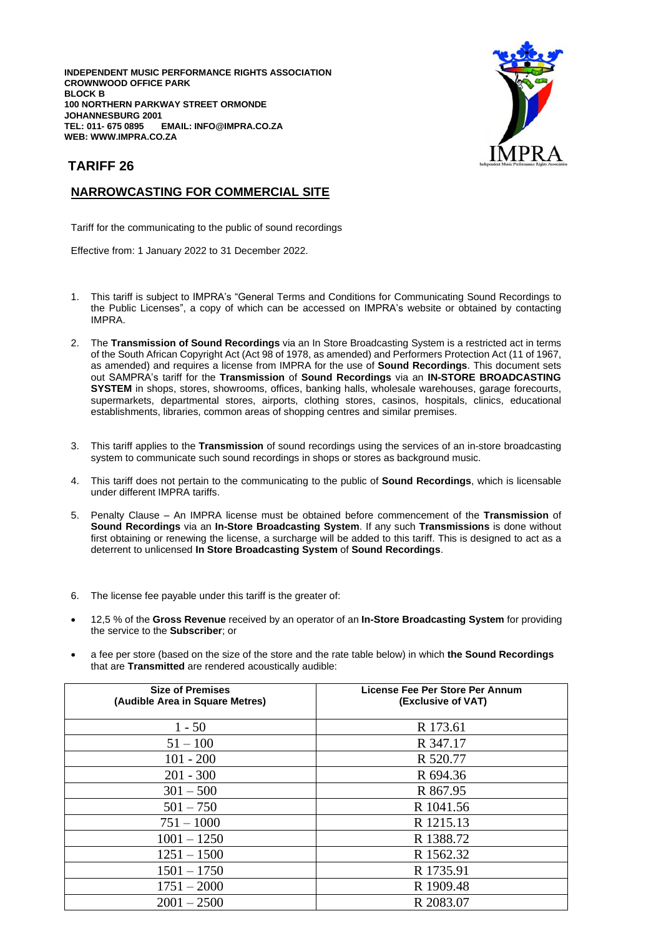**INDEPENDENT MUSIC PERFORMANCE RIGHTS ASSOCIATION CROWNWOOD OFFICE PARK BLOCK B 100 NORTHERN PARKWAY STREET ORMONDE JOHANNESBURG 2001**  $EMAIL: INFO@IMPRA.CO.ZA$ **WEB: WWW.IMPRA.CO.ZA**



## **TARIFF 26**

## **NARROWCASTING FOR COMMERCIAL SITE**

Tariff for the communicating to the public of sound recordings

Effective from: 1 January 2022 to 31 December 2022.

- 1. This tariff is subject to IMPRA's "General Terms and Conditions for Communicating Sound Recordings to the Public Licenses", a copy of which can be accessed on IMPRA's website or obtained by contacting IMPRA.
- 2. The **Transmission of Sound Recordings** via an In Store Broadcasting System is a restricted act in terms of the South African Copyright Act (Act 98 of 1978, as amended) and Performers Protection Act (11 of 1967, as amended) and requires a license from IMPRA for the use of **Sound Recordings**. This document sets out SAMPRA's tariff for the **Transmission** of **Sound Recordings** via an **IN-STORE BROADCASTING SYSTEM** in shops, stores, showrooms, offices, banking halls, wholesale warehouses, garage forecourts, supermarkets, departmental stores, airports, clothing stores, casinos, hospitals, clinics, educational establishments, libraries, common areas of shopping centres and similar premises.
- 3. This tariff applies to the **Transmission** of sound recordings using the services of an in-store broadcasting system to communicate such sound recordings in shops or stores as background music.
- 4. This tariff does not pertain to the communicating to the public of **Sound Recordings**, which is licensable under different IMPRA tariffs.
- 5. Penalty Clause An IMPRA license must be obtained before commencement of the **Transmission** of **Sound Recordings** via an **In-Store Broadcasting System**. If any such **Transmissions** is done without first obtaining or renewing the license, a surcharge will be added to this tariff. This is designed to act as a deterrent to unlicensed **In Store Broadcasting System** of **Sound Recordings**.
- 6. The license fee payable under this tariff is the greater of:
- 12,5 % of the **Gross Revenue** received by an operator of an **In-Store Broadcasting System** for providing the service to the **Subscriber**; or
- a fee per store (based on the size of the store and the rate table below) in which **the Sound Recordings** that are **Transmitted** are rendered acoustically audible:

| <b>Size of Premises</b><br>(Audible Area in Square Metres) | License Fee Per Store Per Annum<br>(Exclusive of VAT) |
|------------------------------------------------------------|-------------------------------------------------------|
| $1 - 50$                                                   | R 173.61                                              |
| $51 - 100$                                                 | R 347.17                                              |
| $101 - 200$                                                | R 520.77                                              |
| $201 - 300$                                                | R 694.36                                              |
| $301 - 500$                                                | R 867.95                                              |
| $501 - 750$                                                | R 1041.56                                             |
| $751 - 1000$                                               | R 1215.13                                             |
| $1001 - 1250$                                              | R 1388.72                                             |
| $1251 - 1500$                                              | R 1562.32                                             |
| $1501 - 1750$                                              | R 1735.91                                             |
| $1751 - 2000$                                              | R 1909.48                                             |
| $2001 - 2500$                                              | R 2083.07                                             |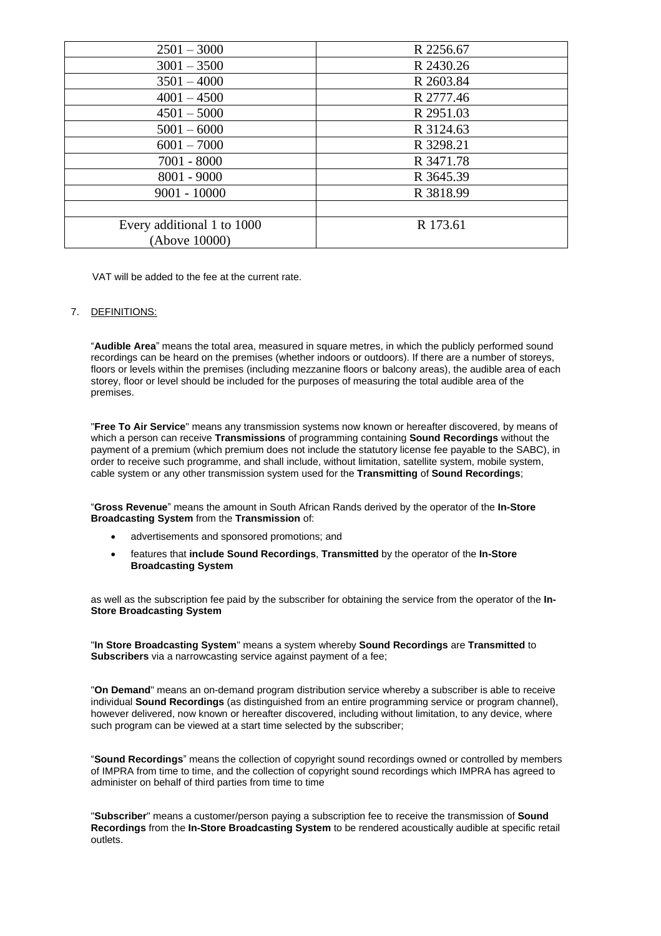| $2501 - 3000$              | R 2256.67 |
|----------------------------|-----------|
| $3001 - 3500$              | R 2430.26 |
| $3501 - 4000$              | R 2603.84 |
| $4001 - 4500$              | R 2777.46 |
| $4501 - 5000$              | R 2951.03 |
| $5001 - 6000$              | R 3124.63 |
| $6001 - 7000$              | R 3298.21 |
| $7001 - 8000$              | R 3471.78 |
| $8001 - 9000$              | R 3645.39 |
| $9001 - 10000$             | R 3818.99 |
|                            |           |
| Every additional 1 to 1000 | R 173.61  |
| (Above 10000)              |           |

VAT will be added to the fee at the current rate.

## 7. DEFINITIONS:

"**Audible Area**" means the total area, measured in square metres, in which the publicly performed sound recordings can be heard on the premises (whether indoors or outdoors). If there are a number of storeys, floors or levels within the premises (including mezzanine floors or balcony areas), the audible area of each storey, floor or level should be included for the purposes of measuring the total audible area of the premises.

"**Free To Air Service**" means any transmission systems now known or hereafter discovered, by means of which a person can receive **Transmissions** of programming containing **Sound Recordings** without the payment of a premium (which premium does not include the statutory license fee payable to the SABC), in order to receive such programme, and shall include, without limitation, satellite system, mobile system, cable system or any other transmission system used for the **Transmitting** of **Sound Recordings**;

"**Gross Revenue**" means the amount in South African Rands derived by the operator of the **In-Store Broadcasting System** from the **Transmission** of:

- advertisements and sponsored promotions; and
- features that **include Sound Recordings**, **Transmitted** by the operator of the **In-Store Broadcasting System**

as well as the subscription fee paid by the subscriber for obtaining the service from the operator of the **In-Store Broadcasting System**

"**In Store Broadcasting System**" means a system whereby **Sound Recordings** are **Transmitted** to **Subscribers** via a narrowcasting service against payment of a fee;

"**On Demand**" means an on-demand program distribution service whereby a subscriber is able to receive individual **Sound Recordings** (as distinguished from an entire programming service or program channel), however delivered, now known or hereafter discovered, including without limitation, to any device, where such program can be viewed at a start time selected by the subscriber;

"**Sound Recordings**" means the collection of copyright sound recordings owned or controlled by members of IMPRA from time to time, and the collection of copyright sound recordings which IMPRA has agreed to administer on behalf of third parties from time to time

"**Subscriber**" means a customer/person paying a subscription fee to receive the transmission of **Sound Recordings** from the **In-Store Broadcasting System** to be rendered acoustically audible at specific retail outlets.